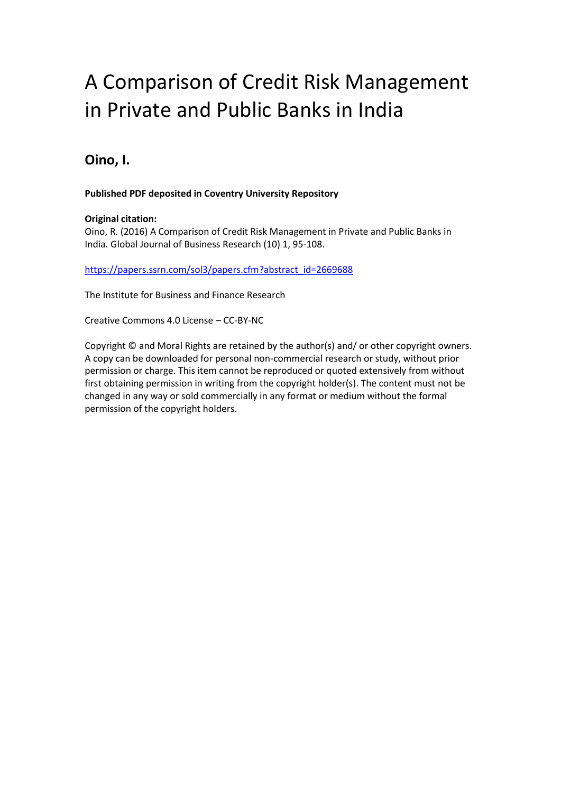# A Comparison of Credit Risk Management in Private and Public Banks in India

# **Oino, I.**

# **Published PDF deposited in Coventry University Repository**

# **Original citation:**

Oino, R. (2016) A Comparison of Credit Risk Management in Private and Public Banks in India. Global Journal of Business Research (10) 1, 95-108.

[https://papers.ssrn.com/sol3/papers.cfm?abstract\\_id=2669688](https://papers.ssrn.com/sol3/papers.cfm?abstract_id=2669688)

The Institute for Business and Finance Research

Creative Commons 4.0 License – CC-BY-NC

Copyright © and Moral Rights are retained by the author(s) and/ or other copyright owners. A copy can be downloaded for personal non-commercial research or study, without prior permission or charge. This item cannot be reproduced or quoted extensively from without first obtaining permission in writing from the copyright holder(s). The content must not be changed in any way or sold commercially in any format or medium without the formal permission of the copyright holders.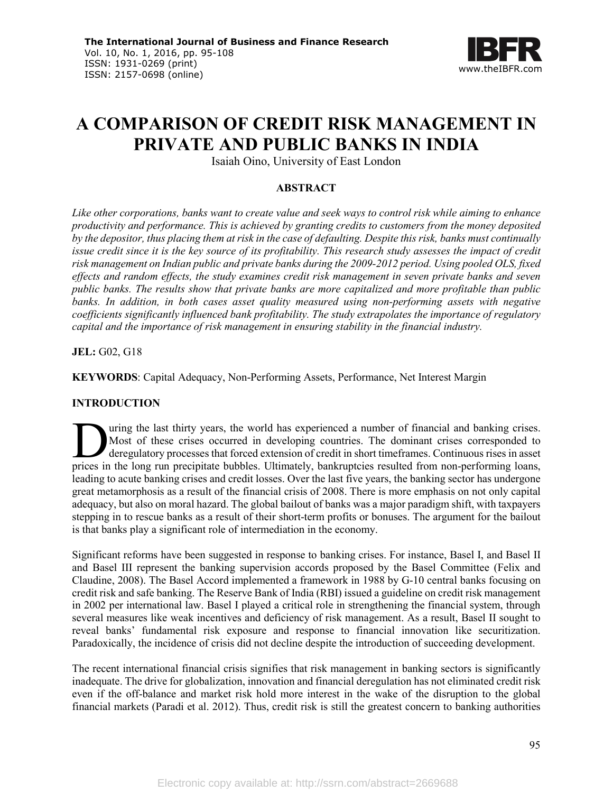

# **A COMPARISON OF CREDIT RISK MANAGEMENT IN PRIVATE AND PUBLIC BANKS IN INDIA**

Isaiah Oino, University of East London

# **ABSTRACT**

*Like other corporations, banks want to create value and seek ways to control risk while aiming to enhance productivity and performance. This is achieved by granting credits to customers from the money deposited by the depositor, thus placing them at risk in the case of defaulting. Despite this risk, banks must continually issue credit since it is the key source of its profitability. This research study assesses the impact of credit risk management on Indian public and private banks during the 2009-2012 period. Using pooled OLS, fixed effects and random effects, the study examines credit risk management in seven private banks and seven public banks. The results show that private banks are more capitalized and more profitable than public banks. In addition, in both cases asset quality measured using non-performing assets with negative coefficients significantly influenced bank profitability. The study extrapolates the importance of regulatory capital and the importance of risk management in ensuring stability in the financial industry.*

**JEL:** G02, G18

**KEYWORDS**: Capital Adequacy, Non-Performing Assets, Performance, Net Interest Margin

# **INTRODUCTION**

uring the last thirty years, the world has experienced a number of financial and banking crises. Most of these crises occurred in developing countries. The dominant crises corresponded to deregulatory processes that forced extension of credit in short timeframes. Continuous rises in asset I wring the last thirty years, the world has experienced a number of financial and banking crises.<br>
Most of these crises occurred in developing countries. The dominant crises corresponded to<br>
deregulatory processes that fo leading to acute banking crises and credit losses. Over the last five years, the banking sector has undergone great metamorphosis as a result of the financial crisis of 2008. There is more emphasis on not only capital adequacy, but also on moral hazard. The global bailout of banks was a major paradigm shift, with taxpayers stepping in to rescue banks as a result of their short-term profits or bonuses. The argument for the bailout is that banks play a significant role of intermediation in the economy.

Significant reforms have been suggested in response to banking crises. For instance, Basel I, and Basel II and Basel III represent the banking supervision accords proposed by the Basel Committee (Felix and Claudine, 2008). The Basel Accord implemented a framework in 1988 by G-10 central banks focusing on credit risk and safe banking. The Reserve Bank of India (RBI) issued a guideline on credit risk management in 2002 per international law. Basel I played a critical role in strengthening the financial system, through several measures like weak incentives and deficiency of risk management. As a result, Basel II sought to reveal banks' fundamental risk exposure and response to financial innovation like securitization. Paradoxically, the incidence of crisis did not decline despite the introduction of succeeding development.

The recent international financial crisis signifies that risk management in banking sectors is significantly inadequate. The drive for globalization, innovation and financial deregulation has not eliminated credit risk even if the off-balance and market risk hold more interest in the wake of the disruption to the global financial markets (Paradi et al. 2012). Thus, credit risk is still the greatest concern to banking authorities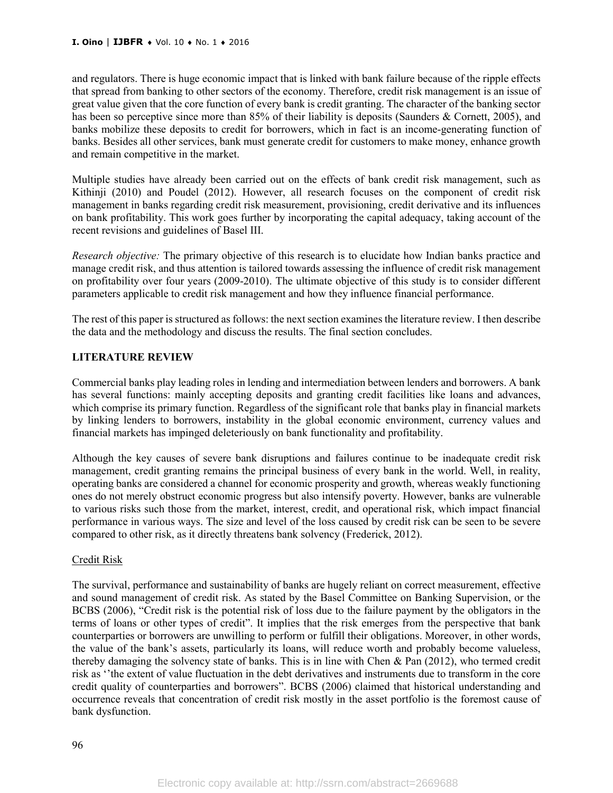and regulators. There is huge economic impact that is linked with bank failure because of the ripple effects that spread from banking to other sectors of the economy. Therefore, credit risk management is an issue of great value given that the core function of every bank is credit granting. The character of the banking sector has been so perceptive since more than 85% of their liability is deposits (Saunders & Cornett, 2005), and banks mobilize these deposits to credit for borrowers, which in fact is an income-generating function of banks. Besides all other services, bank must generate credit for customers to make money, enhance growth and remain competitive in the market.

Multiple studies have already been carried out on the effects of bank credit risk management, such as Kithinji (2010) and Poudel (2012). However, all research focuses on the component of credit risk management in banks regarding credit risk measurement, provisioning, credit derivative and its influences on bank profitability. This work goes further by incorporating the capital adequacy, taking account of the recent revisions and guidelines of Basel III.

*Research objective:* The primary objective of this research is to elucidate how Indian banks practice and manage credit risk, and thus attention is tailored towards assessing the influence of credit risk management on profitability over four years (2009-2010). The ultimate objective of this study is to consider different parameters applicable to credit risk management and how they influence financial performance.

The rest of this paper is structured as follows: the next section examines the literature review. I then describe the data and the methodology and discuss the results. The final section concludes.

# **LITERATURE REVIEW**

Commercial banks play leading roles in lending and intermediation between lenders and borrowers. A bank has several functions: mainly accepting deposits and granting credit facilities like loans and advances, which comprise its primary function. Regardless of the significant role that banks play in financial markets by linking lenders to borrowers, instability in the global economic environment, currency values and financial markets has impinged deleteriously on bank functionality and profitability.

Although the key causes of severe bank disruptions and failures continue to be inadequate credit risk management, credit granting remains the principal business of every bank in the world. Well, in reality, operating banks are considered a channel for economic prosperity and growth, whereas weakly functioning ones do not merely obstruct economic progress but also intensify poverty. However, banks are vulnerable to various risks such those from the market, interest, credit, and operational risk, which impact financial performance in various ways. The size and level of the loss caused by credit risk can be seen to be severe compared to other risk, as it directly threatens bank solvency (Frederick, 2012).

# Credit Risk

The survival, performance and sustainability of banks are hugely reliant on correct measurement, effective and sound management of credit risk. As stated by the Basel Committee on Banking Supervision, or the BCBS (2006), "Credit risk is the potential risk of loss due to the failure payment by the obligators in the terms of loans or other types of credit". It implies that the risk emerges from the perspective that bank counterparties or borrowers are unwilling to perform or fulfill their obligations. Moreover, in other words, the value of the bank's assets, particularly its loans, will reduce worth and probably become valueless, thereby damaging the solvency state of banks. This is in line with Chen & Pan (2012), who termed credit risk as ''the extent of value fluctuation in the debt derivatives and instruments due to transform in the core credit quality of counterparties and borrowers". BCBS (2006) claimed that historical understanding and occurrence reveals that concentration of credit risk mostly in the asset portfolio is the foremost cause of bank dysfunction.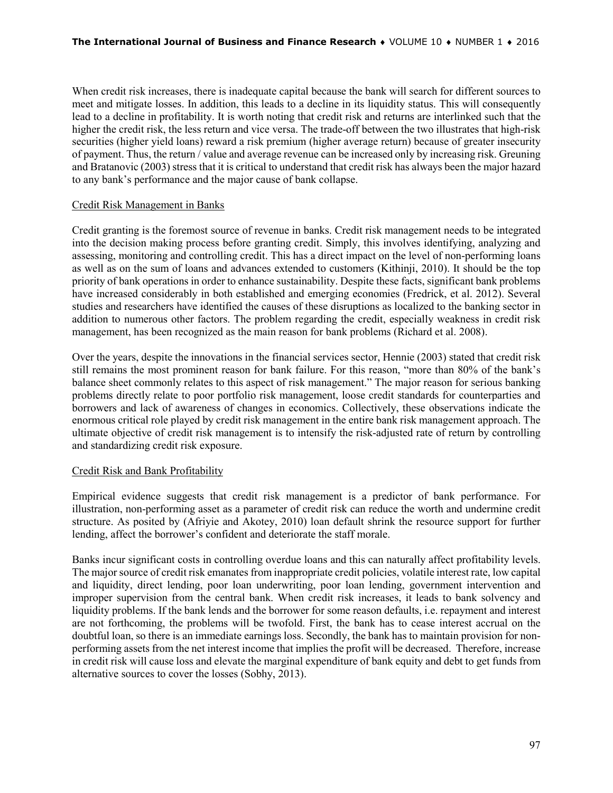When credit risk increases, there is inadequate capital because the bank will search for different sources to meet and mitigate losses. In addition, this leads to a decline in its liquidity status. This will consequently lead to a decline in profitability. It is worth noting that credit risk and returns are interlinked such that the higher the credit risk, the less return and vice versa. The trade-off between the two illustrates that high-risk securities (higher yield loans) reward a risk premium (higher average return) because of greater insecurity of payment. Thus, the return / value and average revenue can be increased only by increasing risk. Greuning and Bratanovic (2003) stress that it is critical to understand that credit risk has always been the major hazard to any bank's performance and the major cause of bank collapse.

# Credit Risk Management in Banks

Credit granting is the foremost source of revenue in banks. Credit risk management needs to be integrated into the decision making process before granting credit. Simply, this involves identifying, analyzing and assessing, monitoring and controlling credit. This has a direct impact on the level of non-performing loans as well as on the sum of loans and advances extended to customers (Kithinji, 2010). It should be the top priority of bank operations in order to enhance sustainability. Despite these facts, significant bank problems have increased considerably in both established and emerging economies (Fredrick, et al. 2012). Several studies and researchers have identified the causes of these disruptions as localized to the banking sector in addition to numerous other factors. The problem regarding the credit, especially weakness in credit risk management, has been recognized as the main reason for bank problems (Richard et al. 2008).

Over the years, despite the innovations in the financial services sector, Hennie (2003) stated that credit risk still remains the most prominent reason for bank failure. For this reason, "more than 80% of the bank's balance sheet commonly relates to this aspect of risk management." The major reason for serious banking problems directly relate to poor portfolio risk management, loose credit standards for counterparties and borrowers and lack of awareness of changes in economics. Collectively, these observations indicate the enormous critical role played by credit risk management in the entire bank risk management approach. The ultimate objective of credit risk management is to intensify the risk-adjusted rate of return by controlling and standardizing credit risk exposure.

# Credit Risk and Bank Profitability

Empirical evidence suggests that credit risk management is a predictor of bank performance. For illustration, non-performing asset as a parameter of credit risk can reduce the worth and undermine credit structure. As posited by (Afriyie and Akotey, 2010) loan default shrink the resource support for further lending, affect the borrower's confident and deteriorate the staff morale.

Banks incur significant costs in controlling overdue loans and this can naturally affect profitability levels. The major source of credit risk emanates from inappropriate credit policies, volatile interest rate, low capital and liquidity, direct lending, poor loan underwriting, poor loan lending, government intervention and improper supervision from the central bank. When credit risk increases, it leads to bank solvency and liquidity problems. If the bank lends and the borrower for some reason defaults, i.e. repayment and interest are not forthcoming, the problems will be twofold. First, the bank has to cease interest accrual on the doubtful loan, so there is an immediate earnings loss. Secondly, the bank has to maintain provision for nonperforming assets from the net interest income that implies the profit will be decreased. Therefore, increase in credit risk will cause loss and elevate the marginal expenditure of bank equity and debt to get funds from alternative sources to cover the losses (Sobhy, 2013).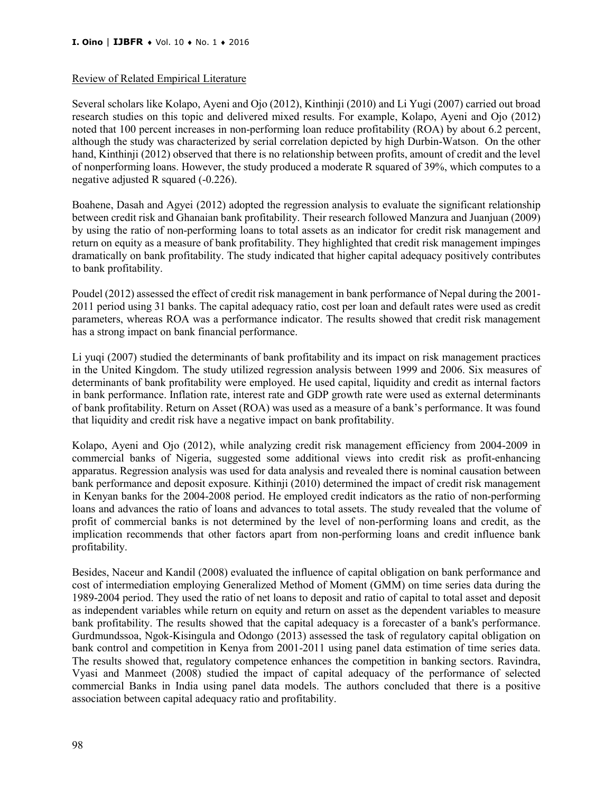#### Review of Related Empirical Literature

Several scholars like Kolapo, Ayeni and Ojo (2012), Kinthinji (2010) and Li Yugi (2007) carried out broad research studies on this topic and delivered mixed results. For example, Kolapo, Ayeni and Ojo (2012) noted that 100 percent increases in non-performing loan reduce profitability (ROA) by about 6.2 percent, although the study was characterized by serial correlation depicted by high Durbin-Watson. On the other hand, Kinthinji (2012) observed that there is no relationship between profits, amount of credit and the level of nonperforming loans. However, the study produced a moderate R squared of 39%, which computes to a negative adjusted R squared (-0.226).

Boahene, Dasah and Agyei (2012) adopted the regression analysis to evaluate the significant relationship between credit risk and Ghanaian bank profitability. Their research followed Manzura and Juanjuan (2009) by using the ratio of non-performing loans to total assets as an indicator for credit risk management and return on equity as a measure of bank profitability. They highlighted that credit risk management impinges dramatically on bank profitability. The study indicated that higher capital adequacy positively contributes to bank profitability.

Poudel (2012) assessed the effect of credit risk management in bank performance of Nepal during the 2001- 2011 period using 31 banks. The capital adequacy ratio, cost per loan and default rates were used as credit parameters, whereas ROA was a performance indicator. The results showed that credit risk management has a strong impact on bank financial performance.

Li yuqi (2007) studied the determinants of bank profitability and its impact on risk management practices in the United Kingdom. The study utilized regression analysis between 1999 and 2006. Six measures of determinants of bank profitability were employed. He used capital, liquidity and credit as internal factors in bank performance. Inflation rate, interest rate and GDP growth rate were used as external determinants of bank profitability. Return on Asset (ROA) was used as a measure of a bank's performance. It was found that liquidity and credit risk have a negative impact on bank profitability.

Kolapo, Ayeni and Ojo (2012), while analyzing credit risk management efficiency from 2004-2009 in commercial banks of Nigeria, suggested some additional views into credit risk as profit-enhancing apparatus. Regression analysis was used for data analysis and revealed there is nominal causation between bank performance and deposit exposure. Kithinji (2010) determined the impact of credit risk management in Kenyan banks for the 2004-2008 period. He employed credit indicators as the ratio of non-performing loans and advances the ratio of loans and advances to total assets. The study revealed that the volume of profit of commercial banks is not determined by the level of non-performing loans and credit, as the implication recommends that other factors apart from non-performing loans and credit influence bank profitability.

Besides, Naceur and Kandil (2008) evaluated the influence of capital obligation on bank performance and cost of intermediation employing Generalized Method of Moment (GMM) on time series data during the 1989-2004 period. They used the ratio of net loans to deposit and ratio of capital to total asset and deposit as independent variables while return on equity and return on asset as the dependent variables to measure bank profitability. The results showed that the capital adequacy is a forecaster of a bank's performance. Gurdmundssoa, Ngok-Kisingula and Odongo (2013) assessed the task of regulatory capital obligation on bank control and competition in Kenya from 2001-2011 using panel data estimation of time series data. The results showed that, regulatory competence enhances the competition in banking sectors. Ravindra, Vyasi and Manmeet (2008) studied the impact of capital adequacy of the performance of selected commercial Banks in India using panel data models. The authors concluded that there is a positive association between capital adequacy ratio and profitability.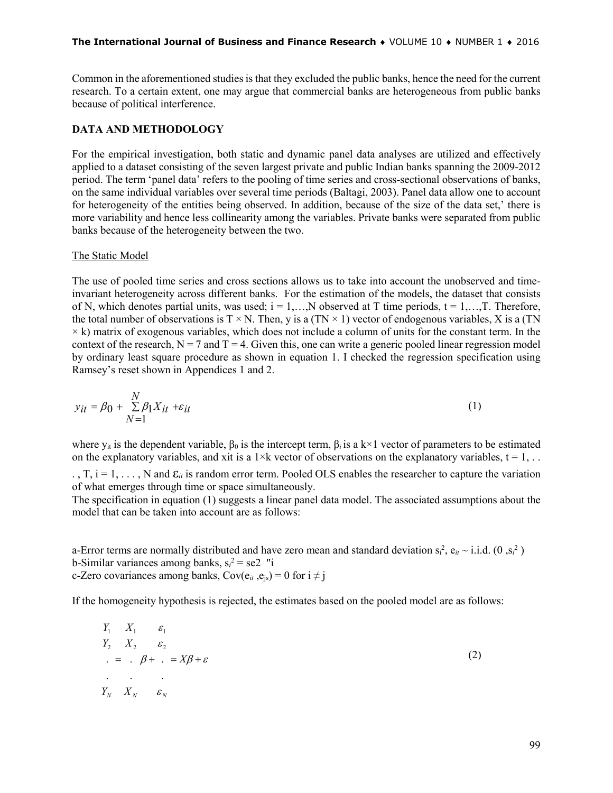#### **The International Journal of Business and Finance Research** ♦ VOLUME 10 ♦ NUMBER 1 ♦ 2016

Common in the aforementioned studies is that they excluded the public banks, hence the need for the current research. To a certain extent, one may argue that commercial banks are heterogeneous from public banks because of political interference.

# **DATA AND METHODOLOGY**

For the empirical investigation, both static and dynamic panel data analyses are utilized and effectively applied to a dataset consisting of the seven largest private and public Indian banks spanning the 2009-2012 period. The term 'panel data' refers to the pooling of time series and cross-sectional observations of banks, on the same individual variables over several time periods (Baltagi, 2003). Panel data allow one to account for heterogeneity of the entities being observed. In addition, because of the size of the data set,' there is more variability and hence less collinearity among the variables. Private banks were separated from public banks because of the heterogeneity between the two.

#### The Static Model

The use of pooled time series and cross sections allows us to take into account the unobserved and timeinvariant heterogeneity across different banks. For the estimation of the models, the dataset that consists of N, which denotes partial units, was used;  $i = 1,...,N$  observed at T time periods,  $t = 1,...,T$ . Therefore, the total number of observations is  $T \times N$ . Then, y is a (TN  $\times$  1) vector of endogenous variables, X is a (TN  $\times$  k) matrix of exogenous variables, which does not include a column of units for the constant term. In the context of the research,  $N = 7$  and  $T = 4$ . Given this, one can write a generic pooled linear regression model by ordinary least square procedure as shown in equation 1. I checked the regression specification using Ramsey's reset shown in Appendices 1 and 2.

$$
y_{it} = \beta_0 + \sum_{N=1}^{N} \beta_1 X_{it} + \varepsilon_{it}
$$
 (1)

where  $y_{it}$  is the dependent variable,  $\beta_0$  is the intercept term,  $\beta_i$  is a k×1 vector of parameters to be estimated on the explanatory variables, and xit is a  $1 \times k$  vector of observations on the explanatory variables,  $t = 1, \ldots$ 

. , T, i = 1, . . . , N and ε*it* is random error term. Pooled OLS enables the researcher to capture the variation of what emerges through time or space simultaneously.

The specification in equation (1) suggests a linear panel data model. The associated assumptions about the model that can be taken into account are as follows:

a-Error terms are normally distributed and have zero mean and standard deviation  $s_i^2$ ,  $e_{it} \sim i.i.d.$  (0, $s_i^2$ ) b-Similar variances among banks,  $s_i^2 =$ se2 "i c-Zero covariances among banks,  $Cov(e_{it}, e_{is}) = 0$  for  $i \neq j$ 

If the homogeneity hypothesis is rejected, the estimates based on the pooled model are as follows:

$$
Y_1 \t X_1 \t \varepsilon_1 Y_2 \t X_2 \t \varepsilon_2 ... \t \t \varepsilon_n Y_N \t X_N \t \varepsilon_N
$$
 (2)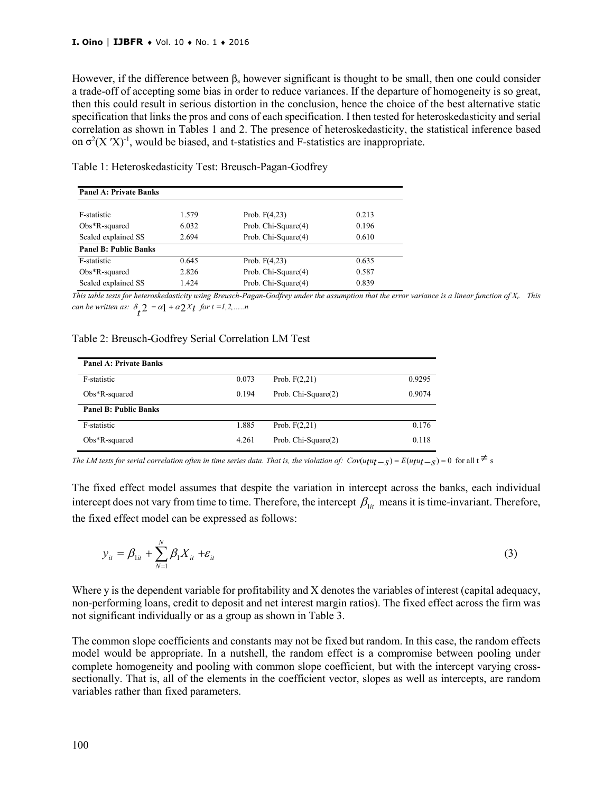However, if the difference between  $\beta_s$  however significant is thought to be small, then one could consider a trade-off of accepting some bias in order to reduce variances. If the departure of homogeneity is so great, then this could result in serious distortion in the conclusion, hence the choice of the best alternative static specification that links the pros and cons of each specification. I then tested for heteroskedasticity and serial correlation as shown in Tables 1 and 2. The presence of heteroskedasticity, the statistical inference based on  $\sigma^2$ (X 'X)<sup>-1</sup>, would be biased, and t-statistics and F-statistics are inappropriate.

| <b>Panel A: Private Banks</b> |       |                     |       |
|-------------------------------|-------|---------------------|-------|
| F-statistic                   | 1.579 | Prob. $F(4,23)$     | 0.213 |
| $Obs*R$ -squared              | 6.032 | Prob. Chi-Square(4) | 0.196 |
| Scaled explained SS           | 2.694 | Prob. Chi-Square(4) | 0.610 |
| <b>Panel B: Public Banks</b>  |       |                     |       |
| F-statistic                   | 0.645 | Prob. $F(4,23)$     | 0.635 |
| $Obs*R$ -squared              | 2.826 | Prob. Chi-Square(4) | 0.587 |
| Scaled explained SS           | 1.424 | Prob. Chi-Square(4) | 0.839 |

Table 1: Heteroskedasticity Test: Breusch-Pagan-Godfrey

*This table tests for heteroskedasticity using Breusch-Pagan-Godfrey under the assumption that the error variance is a linear function of Xt. This can be written as:*  $\delta_t^2 = \alpha + \alpha^2 X_t$  for  $t = 1, 2, \dots, n$ 

#### Table 2: Breusch-Godfrey Serial Correlation LM Test

| <b>Panel A: Private Banks</b> |       |                     |        |
|-------------------------------|-------|---------------------|--------|
| F-statistic                   | 0.073 | Prob. $F(2,21)$     | 0.9295 |
| $Obs*R$ -squared              | 0.194 | Prob. Chi-Square(2) | 0.9074 |
| <b>Panel B: Public Banks</b>  |       |                     |        |
| F-statistic                   | 1.885 | Prob. $F(2,21)$     | 0.176  |
| $Obs*R$ -squared              | 4.261 | Prob. Chi-Square(2) | 0.118  |

The LM tests for serial correlation often in time series data. That is, the violation of:  $Cov(u_tu_t - s) = E(u_tu_t - s) = 0$  for all  $t \neq s$ 

The fixed effect model assumes that despite the variation in intercept across the banks, each individual intercept does not vary from time to time. Therefore, the intercept  $\beta_{1it}$  means it is time-invariant. Therefore, the fixed effect model can be expressed as follows:

$$
y_{it} = \beta_{1it} + \sum_{N=1}^{N} \beta_{1} X_{it} + \varepsilon_{it}
$$
 (3)

Where y is the dependent variable for profitability and X denotes the variables of interest (capital adequacy, non-performing loans, credit to deposit and net interest margin ratios). The fixed effect across the firm was not significant individually or as a group as shown in Table 3.

The common slope coefficients and constants may not be fixed but random. In this case, the random effects model would be appropriate. In a nutshell, the random effect is a compromise between pooling under complete homogeneity and pooling with common slope coefficient, but with the intercept varying crosssectionally. That is, all of the elements in the coefficient vector, slopes as well as intercepts, are random variables rather than fixed parameters.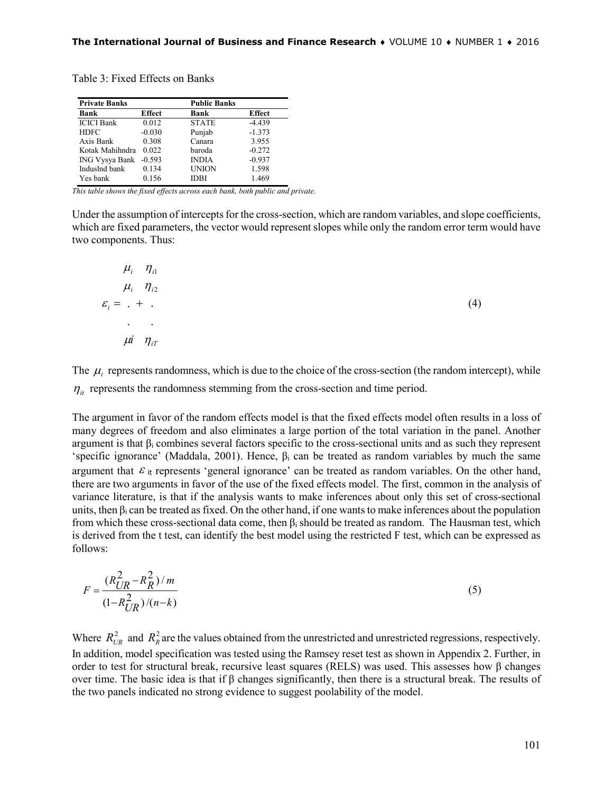Table 3: Fixed Effects on Banks

| <b>Private Banks</b> |               | <b>Public Banks</b> |               |
|----------------------|---------------|---------------------|---------------|
| Bank                 | <b>Effect</b> | Bank                | <b>Effect</b> |
| <b>ICICI</b> Bank    | 0.012         | <b>STATE</b>        | $-4.439$      |
| <b>HDFC</b>          | $-0.030$      | Punjab              | $-1.373$      |
| Axis Bank            | 0.308         | Canara              | 3.955         |
| Kotak Mahihndra      | 0.022         | baroda              | $-0.272$      |
| ING Vysya Bank       | $-0.593$      | <b>INDIA</b>        | $-0.937$      |
| Induslnd bank        | 0.134         | <b>UNION</b>        | 1.598         |
| Yes bank             | 0.156         | IDBI                | 1.469         |

*This table shows the fixed effects across each bank, both public and private.*

Under the assumption of intercepts for the cross-section, which are random variables, and slope coefficients, which are fixed parameters, the vector would represent slopes while only the random error term would have two components. Thus:

| $\mu_i$ $\eta_{i1}$     |     |
|-------------------------|-----|
| $\mu_i$ $\eta_{i2}$     |     |
| $\varepsilon_i = 1 + 1$ | (4) |
| <b>All Contracts</b>    |     |
| $\mu i$ $\eta_{iT}$     |     |

The  $\mu_i$  represents randomness, which is due to the choice of the cross-section (the random intercept), while  $\eta_{it}$  represents the randomness stemming from the cross-section and time period.

The argument in favor of the random effects model is that the fixed effects model often results in a loss of many degrees of freedom and also eliminates a large portion of the total variation in the panel. Another argument is that  $\beta_i$  combines several factors specific to the cross-sectional units and as such they represent 'specific ignorance' (Maddala, 2001). Hence,  $\beta_i$  can be treated as random variables by much the same argument that  $\varepsilon$ <sub>it</sub> represents 'general ignorance' can be treated as random variables. On the other hand, there are two arguments in favor of the use of the fixed effects model. The first, common in the analysis of variance literature, is that if the analysis wants to make inferences about only this set of cross-sectional units, then  $\beta_i$  can be treated as fixed. On the other hand, if one wants to make inferences about the population from which these cross-sectional data come, then  $\beta_i$  should be treated as random. The Hausman test, which is derived from the t test, can identify the best model using the restricted F test, which can be expressed as follows:

$$
F = \frac{(R_{UR}^2 - R_R^2)/m}{(1 - R_{UR}^2)/(n - k)}
$$
(5)

Where  $R_{UR}^2$  and  $R_R^2$  are the values obtained from the unrestricted and unrestricted regressions, respectively. In addition, model specification was tested using the Ramsey reset test as shown in Appendix 2. Further, in order to test for structural break, recursive least squares (RELS) was used. This assesses how β changes over time. The basic idea is that if β changes significantly, then there is a structural break. The results of the two panels indicated no strong evidence to suggest poolability of the model.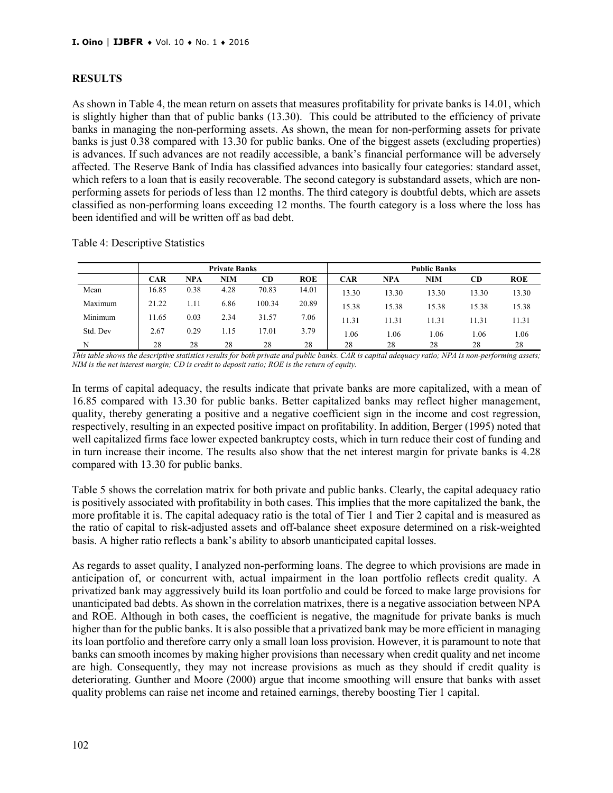#### **RESULTS**

As shown in Table 4, the mean return on assets that measures profitability for private banks is 14.01, which is slightly higher than that of public banks (13.30). This could be attributed to the efficiency of private banks in managing the non-performing assets. As shown, the mean for non-performing assets for private banks is just 0.38 compared with 13.30 for public banks. One of the biggest assets (excluding properties) is advances. If such advances are not readily accessible, a bank's financial performance will be adversely affected. The Reserve Bank of India has classified advances into basically four categories: standard asset, which refers to a loan that is easily recoverable. The second category is substandard assets, which are nonperforming assets for periods of less than 12 months. The third category is doubtful debts, which are assets classified as non-performing loans exceeding 12 months. The fourth category is a loss where the loss has been identified and will be written off as bad debt.

|          |       |            | <b>Private Banks</b> |        |            |            |            | <b>Public Banks</b> |           |            |
|----------|-------|------------|----------------------|--------|------------|------------|------------|---------------------|-----------|------------|
|          | CAR   | <b>NPA</b> | <b>NIM</b>           | CD     | <b>ROE</b> | <b>CAR</b> | <b>NPA</b> | <b>NIM</b>          | <b>CD</b> | <b>ROE</b> |
| Mean     | 16.85 | 0.38       | 4.28                 | 70.83  | 14.01      | 13.30      | 13.30      | 13.30               | 13.30     | 13.30      |
| Maximum  | 21.22 | 1.11       | 6.86                 | 100.34 | 20.89      | 15.38      | 15.38      | 15.38               | 15.38     | 15.38      |
| Minimum  | 11.65 | 0.03       | 2.34                 | 31.57  | 7.06       | 11.31      | 11.31      | 11.31               | 11.31     | 11.31      |
| Std. Dev | 2.67  | 0.29       | 1.15                 | 17.01  | 3.79       | 1.06       | . .06      | . 06                | 1.06      | 1.06       |
| N        | 28    | 28         | 28                   | 28     | 28         | 28         | 28         | 28                  | 28        | 28         |

Table 4: Descriptive Statistics

*This table shows the descriptive statistics results for both private and public banks. CAR is capital adequacy ratio; NPA is non-performing assets; NIM is the net interest margin; CD is credit to deposit ratio; ROE is the return of equity.*

In terms of capital adequacy, the results indicate that private banks are more capitalized, with a mean of 16.85 compared with 13.30 for public banks. Better capitalized banks may reflect higher management, quality, thereby generating a positive and a negative coefficient sign in the income and cost regression, respectively, resulting in an expected positive impact on profitability. In addition, Berger (1995) noted that well capitalized firms face lower expected bankruptcy costs, which in turn reduce their cost of funding and in turn increase their income. The results also show that the net interest margin for private banks is 4.28 compared with 13.30 for public banks.

Table 5 shows the correlation matrix for both private and public banks. Clearly, the capital adequacy ratio is positively associated with profitability in both cases. This implies that the more capitalized the bank, the more profitable it is. The capital adequacy ratio is the total of Tier 1 and Tier 2 capital and is measured as the ratio of capital to risk-adjusted assets and off-balance sheet exposure determined on a risk-weighted basis. A higher ratio reflects a bank's ability to absorb unanticipated capital losses.

As regards to asset quality, I analyzed non-performing loans. The degree to which provisions are made in anticipation of, or concurrent with, actual impairment in the loan portfolio reflects credit quality. A privatized bank may aggressively build its loan portfolio and could be forced to make large provisions for unanticipated bad debts. As shown in the correlation matrixes, there is a negative association between NPA and ROE. Although in both cases, the coefficient is negative, the magnitude for private banks is much higher than for the public banks. It is also possible that a privatized bank may be more efficient in managing its loan portfolio and therefore carry only a small loan loss provision. However, it is paramount to note that banks can smooth incomes by making higher provisions than necessary when credit quality and net income are high. Consequently, they may not increase provisions as much as they should if credit quality is deteriorating. Gunther and Moore (2000) argue that income smoothing will ensure that banks with asset quality problems can raise net income and retained earnings, thereby boosting Tier 1 capital.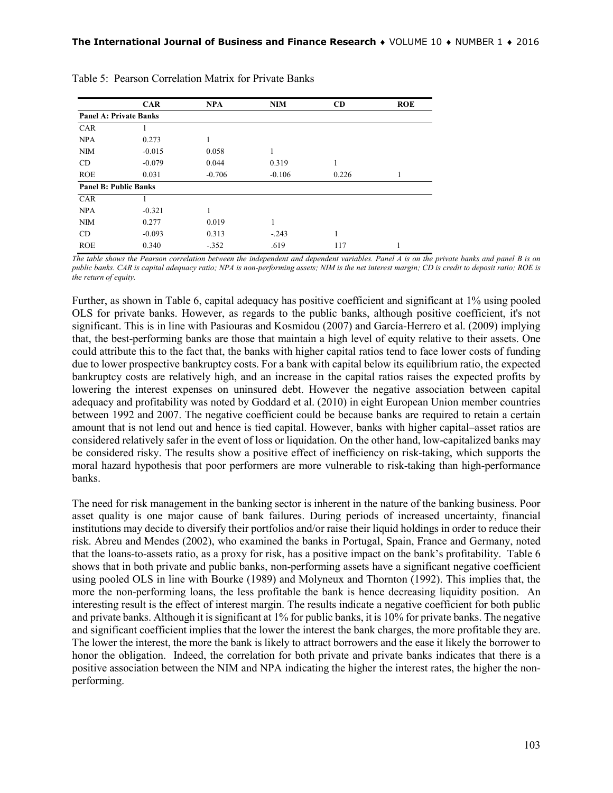|                               | <b>CAR</b> | <b>NPA</b> | <b>NIM</b> | CD    | <b>ROE</b> |
|-------------------------------|------------|------------|------------|-------|------------|
| <b>Panel A: Private Banks</b> |            |            |            |       |            |
| CAR                           |            |            |            |       |            |
| <b>NPA</b>                    | 0.273      | 1          |            |       |            |
| <b>NIM</b>                    | $-0.015$   | 0.058      | 1          |       |            |
| CD.                           | $-0.079$   | 0.044      | 0.319      | 1     |            |
| <b>ROE</b>                    | 0.031      | $-0.706$   | $-0.106$   | 0.226 | 1          |
| <b>Panel B: Public Banks</b>  |            |            |            |       |            |
| <b>CAR</b>                    |            |            |            |       |            |
| <b>NPA</b>                    | $-0.321$   |            |            |       |            |
| <b>NIM</b>                    | 0.277      | 0.019      | 1          |       |            |
| CD                            | $-0.093$   | 0.313      | $-.243$    | 1     |            |
| <b>ROE</b>                    | 0.340      | $-.352$    | .619       | 117   |            |

| Table 5: Pearson Correlation Matrix for Private Banks |  |  |  |  |
|-------------------------------------------------------|--|--|--|--|
|-------------------------------------------------------|--|--|--|--|

*The table shows the Pearson correlation between the independent and dependent variables. Panel A is on the private banks and panel B is on public banks. CAR is capital adequacy ratio; NPA is non-performing assets; NIM is the net interest margin; CD is credit to deposit ratio; ROE is the return of equity.*

Further, as shown in Table 6, capital adequacy has positive coefficient and significant at 1% using pooled OLS for private banks. However, as regards to the public banks, although positive coefficient, it's not significant. This is in line with Pasiouras and Kosmidou (2007) and García-Herrero et al. (2009) implying that, the best-performing banks are those that maintain a high level of equity relative to their assets. One could attribute this to the fact that, the banks with higher capital ratios tend to face lower costs of funding due to lower prospective bankruptcy costs. For a bank with capital below its equilibrium ratio, the expected bankruptcy costs are relatively high, and an increase in the capital ratios raises the expected profits by lowering the interest expenses on uninsured debt. However the negative association between capital adequacy and profitability was noted by Goddard et al. (2010) in eight European Union member countries between 1992 and 2007. The negative coefficient could be because banks are required to retain a certain amount that is not lend out and hence is tied capital. However, banks with higher capital–asset ratios are considered relatively safer in the event of loss or liquidation. On the other hand, low-capitalized banks may be considered risky. The results show a positive effect of inefficiency on risk-taking, which supports the moral hazard hypothesis that poor performers are more vulnerable to risk-taking than high-performance banks.

The need for risk management in the banking sector is inherent in the nature of the banking business. Poor asset quality is one major cause of bank failures. During periods of increased uncertainty, financial institutions may decide to diversify their portfolios and/or raise their liquid holdings in order to reduce their risk. Abreu and Mendes (2002), who examined the banks in Portugal, Spain, France and Germany, noted that the loans-to-assets ratio, as a proxy for risk, has a positive impact on the bank's profitability. Table 6 shows that in both private and public banks, non-performing assets have a significant negative coefficient using pooled OLS in line with Bourke (1989) and Molyneux and Thornton (1992). This implies that, the more the non-performing loans, the less profitable the bank is hence decreasing liquidity position. An interesting result is the effect of interest margin. The results indicate a negative coefficient for both public and private banks. Although it is significant at 1% for public banks, it is 10% for private banks. The negative and significant coefficient implies that the lower the interest the bank charges, the more profitable they are. The lower the interest, the more the bank is likely to attract borrowers and the ease it likely the borrower to honor the obligation. Indeed, the correlation for both private and private banks indicates that there is a positive association between the NIM and NPA indicating the higher the interest rates, the higher the nonperforming.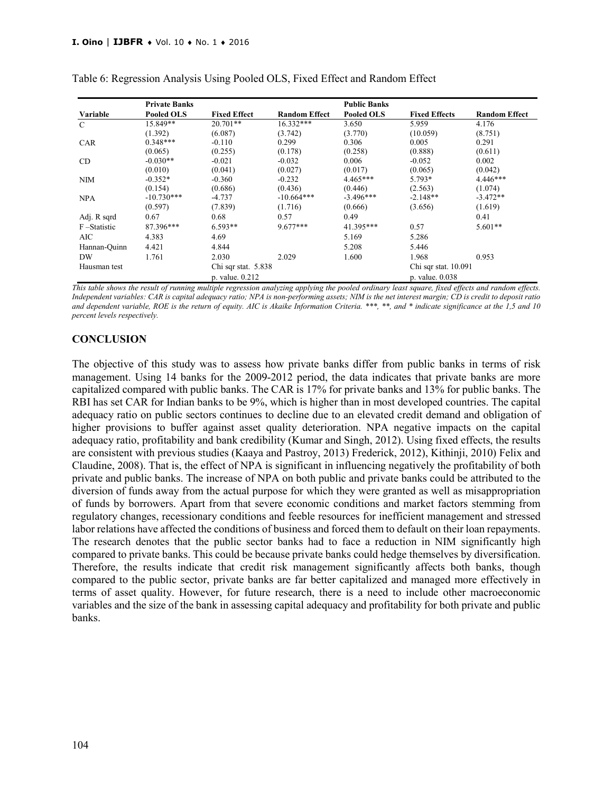|               | <b>Private Banks</b> |                     |                      | <b>Public Banks</b> |                      |                      |
|---------------|----------------------|---------------------|----------------------|---------------------|----------------------|----------------------|
| Variable      | <b>Pooled OLS</b>    | <b>Fixed Effect</b> | <b>Random Effect</b> | <b>Pooled OLS</b>   | <b>Fixed Effects</b> | <b>Random Effect</b> |
| $\mathcal{C}$ | 15.849**             | $20.701**$          | $16.332***$          | 3.650               | 5.959                | 4.176                |
|               | (1.392)              | (6.087)             | (3.742)              | (3.770)             | (10.059)             | (8.751)              |
| <b>CAR</b>    | $0.348***$           | $-0.110$            | 0.299                | 0.306               | 0.005                | 0.291                |
|               | (0.065)              | (0.255)             | (0.178)              | (0.258)             | (0.888)              | (0.611)              |
| CD            | $-0.030**$           | $-0.021$            | $-0.032$             | 0.006               | $-0.052$             | 0.002                |
|               | (0.010)              | (0.041)             | (0.027)              | (0.017)             | (0.065)              | (0.042)              |
| <b>NIM</b>    | $-0.352*$            | $-0.360$            | $-0.232$             | $4.465***$          | 5.793*               | $4.446***$           |
|               | (0.154)              | (0.686)             | (0.436)              | (0.446)             | (2.563)              | (1.074)              |
| <b>NPA</b>    | $-10.730***$         | $-4.737$            | $-10.664***$         | $-3.496***$         | $-2.148**$           | $-3.472**$           |
|               | (0.597)              | (7.839)             | (1.716)              | (0.666)             | (3.656)              | (1.619)              |
| Adj. R sqrd   | 0.67                 | 0.68                | 0.57                 | 0.49                |                      | 0.41                 |
| F-Statistic   | 87.396***            | $6.593**$           | $9.677***$           | 41.395***           | 0.57                 | $5.601**$            |
| AIC           | 4.383                | 4.69                |                      | 5.169               | 5.286                |                      |
| Hannan-Ouinn  | 4.421                | 4.844               |                      | 5.208               | 5.446                |                      |
| <b>DW</b>     | 1.761                | 2.030               | 2.029                | 1.600               | 1.968                | 0.953                |
| Hausman test  |                      | Chi sqr stat. 5.838 |                      |                     | Chi sqr stat. 10.091 |                      |
|               |                      | p. value. 0.212     |                      |                     | p. value. 0.038      |                      |

Table 6: Regression Analysis Using Pooled OLS, Fixed Effect and Random Effect

*This table shows the result of running multiple regression analyzing applying the pooled ordinary least square, fixed effects and random effects. Independent variables: CAR is capital adequacy ratio; NPA is non-performing assets; NIM is the net interest margin; CD is credit to deposit ratio and dependent variable, ROE is the return of equity. AIC is Akaike Information Criteria. \*\*\*, \*\*, and \* indicate significance at the 1,5 and 10 percent levels respectively.*

#### **CONCLUSION**

The objective of this study was to assess how private banks differ from public banks in terms of risk management. Using 14 banks for the 2009-2012 period, the data indicates that private banks are more capitalized compared with public banks. The CAR is 17% for private banks and 13% for public banks. The RBI has set CAR for Indian banks to be 9%, which is higher than in most developed countries. The capital adequacy ratio on public sectors continues to decline due to an elevated credit demand and obligation of higher provisions to buffer against asset quality deterioration. NPA negative impacts on the capital adequacy ratio, profitability and bank credibility (Kumar and Singh, 2012). Using fixed effects, the results are consistent with previous studies (Kaaya and Pastroy, 2013) Frederick, 2012), Kithinji, 2010) Felix and Claudine, 2008). That is, the effect of NPA is significant in influencing negatively the profitability of both private and public banks. The increase of NPA on both public and private banks could be attributed to the diversion of funds away from the actual purpose for which they were granted as well as misappropriation of funds by borrowers. Apart from that severe economic conditions and market factors stemming from regulatory changes, recessionary conditions and feeble resources for inefficient management and stressed labor relations have affected the conditions of business and forced them to default on their loan repayments. The research denotes that the public sector banks had to face a reduction in NIM significantly high compared to private banks. This could be because private banks could hedge themselves by diversification. Therefore, the results indicate that credit risk management significantly affects both banks, though compared to the public sector, private banks are far better capitalized and managed more effectively in terms of asset quality. However, for future research, there is a need to include other macroeconomic variables and the size of the bank in assessing capital adequacy and profitability for both private and public banks.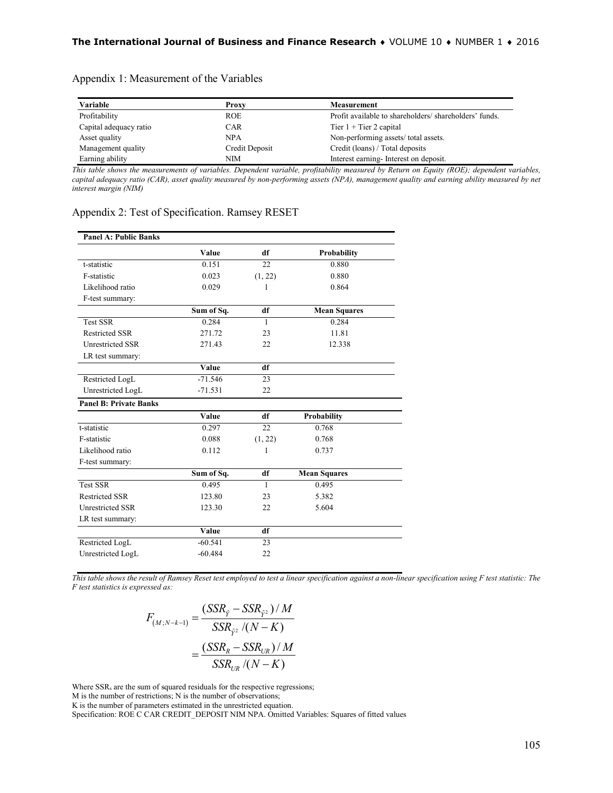| Variable               | <b>Proxy</b>   | <b>Measurement</b>                                    |
|------------------------|----------------|-------------------------------------------------------|
| Profitability          | <b>ROE</b>     | Profit available to shareholders/shareholders' funds. |
| Capital adequacy ratio | <b>CAR</b>     | Tier $1 +$ Tier 2 capital                             |
| Asset quality          | <b>NPA</b>     | Non-performing assets/total assets.                   |
| Management quality     | Credit Deposit | Credit (loans) / Total deposits                       |
| Earning ability        | NIM            | Interest earning-Interest on deposit.                 |

# Appendix 1: Measurement of the Variables

*This table shows the measurements of variables. Dependent variable, profitability measured by Return on Equity (ROE); dependent variables,*  capital adequacy ratio (CAR), asset quality measured by non-performing assets (NPA), management quality and earning ability measured by net *interest margin (NIM)*

| <b>Panel A: Public Banks</b>  |              |              |                     |
|-------------------------------|--------------|--------------|---------------------|
|                               | Value        | df           | <b>Probability</b>  |
| t-statistic                   | 0.151        | 22           | 0.880               |
| F-statistic                   | 0.023        | (1, 22)      | 0.880               |
| Likelihood ratio              | 0.029        | 1            | 0.864               |
| F-test summary:               |              |              |                     |
|                               | Sum of Sq.   | df           | <b>Mean Squares</b> |
| <b>Test SSR</b>               | 0.284        | $\mathbf{1}$ | 0.284               |
| <b>Restricted SSR</b>         | 271.72       | 23           | 11.81               |
| <b>Unrestricted SSR</b>       | 271.43       | 22           | 12.338              |
| LR test summary:              |              |              |                     |
|                               | Value        | df           |                     |
| Restricted LogL               | $-71.546$    | 23           |                     |
| Unrestricted LogL             | $-71.531$    | 22           |                     |
| <b>Panel B: Private Banks</b> |              |              |                     |
|                               | Value        | df           | Probability         |
| t-statistic                   | 0.297        | 22           | 0.768               |
| F-statistic                   | 0.088        | (1, 22)      | 0.768               |
| Likelihood ratio              | 0.112        | 1            | 0.737               |
| F-test summary:               |              |              |                     |
|                               | Sum of Sq.   | df           | <b>Mean Squares</b> |
| <b>Test SSR</b>               | 0.495        | $\mathbf{1}$ | 0.495               |
| <b>Restricted SSR</b>         | 123.80       | 23           | 5.382               |
| <b>Unrestricted SSR</b>       | 123.30       | 22           | 5.604               |
| LR test summary:              |              |              |                     |
|                               | <b>Value</b> | df           |                     |
| Restricted LogL               | $-60.541$    | 23           |                     |
| Unrestricted LogL             | $-60.484$    | 22           |                     |

#### Appendix 2: Test of Specification. Ramsey RESET

*This table shows the result of Ramsey Reset test employed to test a linear specification against a non-linear specification using F test statistic: The F test statistics is expressed as:*

$$
F_{(M;N-k-1)} = \frac{(SSR_{\hat{Y}} - SSR_{\hat{Y}^2})/M}{SSR_{\hat{Y}^2}/(N-K)}
$$

$$
= \frac{(SSR_R - SSR_{UR})/M}{SSR_{UR}/(N-K)}
$$

Where SSR<sub>s</sub> are the sum of squared residuals for the respective regressions;

M is the number of restrictions; N is the number of observations;

K is the number of parameters estimated in the unrestricted equation.

Specification: ROE C CAR CREDIT\_DEPOSIT NIM NPA. Omitted Variables: Squares of fitted values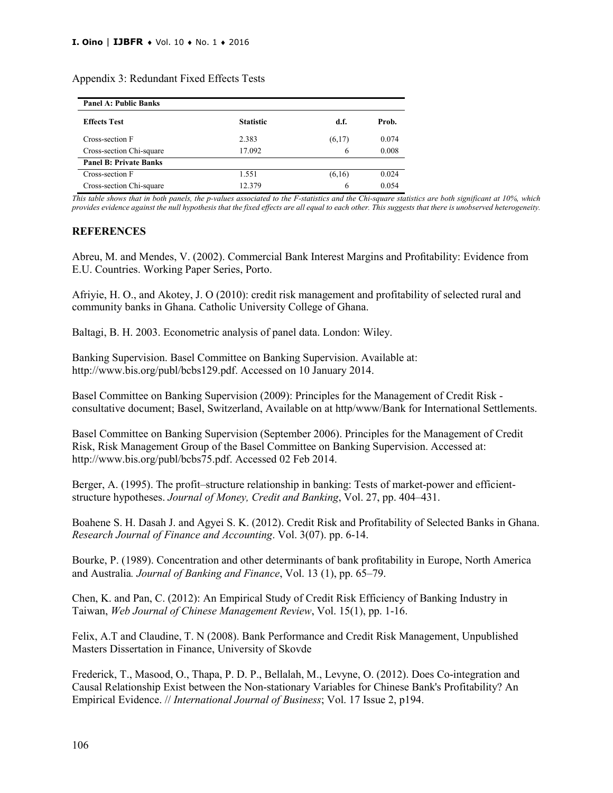| <b>Panel A: Public Banks</b>  |                  |        |       |
|-------------------------------|------------------|--------|-------|
| <b>Effects Test</b>           | <b>Statistic</b> | d.f.   | Prob. |
| Cross-section F               | 2.383            | (6,17) | 0.074 |
| Cross-section Chi-square      | 17.092           | 6      | 0.008 |
| <b>Panel B: Private Banks</b> |                  |        |       |
| Cross-section F               | 1.551            | (6,16) | 0.024 |
| Cross-section Chi-square      | 12.379           | 6      | 0.054 |

#### Appendix 3: Redundant Fixed Effects Tests

*This table shows that in both panels, the p-values associated to the F-statistics and the Chi-square statistics are both significant at 10%, which provides evidence against the null hypothesis that the fixed effects are all equal to each other. This suggests that there is unobserved heterogeneity.*

#### **REFERENCES**

Abreu, M. and Mendes, V. (2002). Commercial Bank Interest Margins and Profitability: Evidence from E.U. Countries. Working Paper Series, Porto.

Afriyie, H. O., and Akotey, J. O (2010): credit risk management and profitability of selected rural and community banks in Ghana. Catholic University College of Ghana.

Baltagi, B. H. 2003. Econometric analysis of panel data. London: Wiley.

Banking Supervision. Basel Committee on Banking Supervision. Available at: http://www.bis.org/publ/bcbs129.pdf. Accessed on 10 January 2014.

Basel Committee on Banking Supervision (2009): Principles for the Management of Credit Risk consultative document; Basel, Switzerland, Available on at http/www/Bank for International Settlements.

Basel Committee on Banking Supervision (September 2006). Principles for the Management of Credit Risk, Risk Management Group of the Basel Committee on Banking Supervision. Accessed at: http://www.bis.org/publ/bcbs75.pdf. Accessed 02 Feb 2014.

Berger, A. (1995). The profit–structure relationship in banking: Tests of market-power and efficientstructure hypotheses. *Journal of Money, Credit and Banking*, Vol. 27, pp. 404–431.

Boahene S. H. Dasah J. and Agyei S. K. (2012). Credit Risk and Profitability of Selected Banks in Ghana. *Research Journal of Finance and Accounting*. Vol. 3(07). pp. 6-14.

Bourke, P. (1989). Concentration and other determinants of bank profitability in Europe, North America and Australia*. Journal of Banking and Finance*, Vol. 13 (1), pp. 65–79.

Chen, K. and Pan, C. (2012): An Empirical Study of Credit Risk Efficiency of Banking Industry in Taiwan, *Web Journal of Chinese Management Review*, Vol. 15(1), pp. 1-16.

Felix, A.T and Claudine, T. N (2008). Bank Performance and Credit Risk Management, Unpublished Masters Dissertation in Finance, University of Skovde

Frederick, T., Masood, O., Thapa, P. D. P., Bellalah, M., Levyne, O. (2012). Does Co-integration and Causal Relationship Exist between the Non-stationary Variables for Chinese Bank's Profitability? An Empirical Evidence. // *International Journal of Business*; Vol. 17 Issue 2, p194.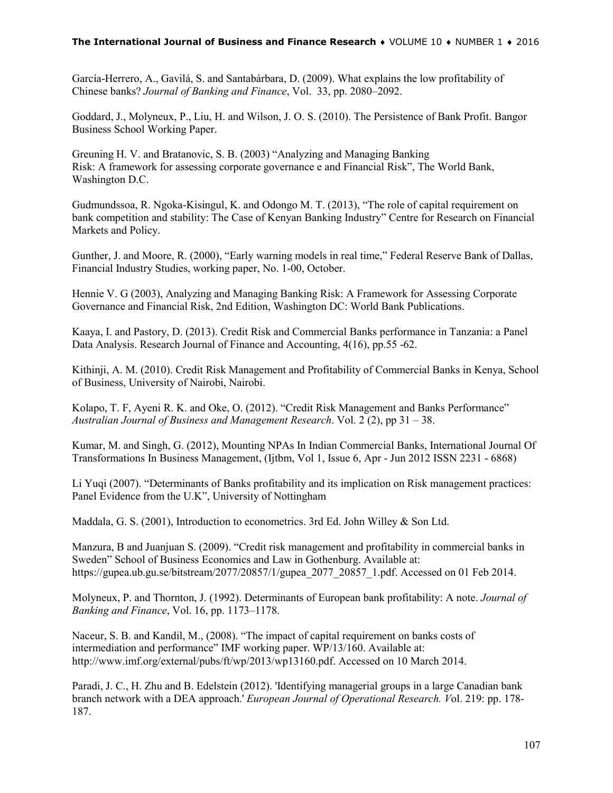García-Herrero, A., Gavilá, S. and Santabárbara, D. (2009). What explains the low profitability of Chinese banks? *Journal of Banking and Finance*, Vol. 33, pp. 2080–2092.

Goddard, J., Molyneux, P., Liu, H. and Wilson, J. O. S. (2010). The Persistence of Bank Profit. Bangor Business School Working Paper.

Greuning H. V. and Bratanovic, S. B. (2003) "Analyzing and Managing Banking Risk: A framework for assessing corporate governance e and Financial Risk", The World Bank, Washington D.C.

Gudmundssoa, R. Ngoka-Kisingul, K. and Odongo M. T. (2013), "The role of capital requirement on bank competition and stability: The Case of Kenyan Banking Industry" Centre for Research on Financial Markets and Policy.

Gunther, J. and Moore, R. (2000), "Early warning models in real time," Federal Reserve Bank of Dallas, Financial Industry Studies, working paper, No. 1-00, October.

Hennie V. G (2003), Analyzing and Managing Banking Risk: A Framework for Assessing Corporate Governance and Financial Risk, 2nd Edition, Washington DC: World Bank Publications.

Kaaya, I. and Pastory, D. (2013). Credit Risk and Commercial Banks performance in Tanzania: a Panel Data Analysis. Research Journal of Finance and Accounting, 4(16), pp.55 -62.

Kithinji, A. M. (2010). Credit Risk Management and Profitability of Commercial Banks in Kenya, School of Business, University of Nairobi, Nairobi.

Kolapo, T. F, Ayeni R. K. and Oke, O. (2012). "Credit Risk Management and Banks Performance" *Australian Journal of Business and Management Research*. Vol. 2 (2), pp 31 – 38.

Kumar, M. and Singh, G. (2012), Mounting NPAs In Indian Commercial Banks, International Journal Of Transformations In Business Management, (Ijtbm, Vol 1, Issue 6, Apr - Jun 2012 ISSN 2231 - 6868)

Li Yuqi (2007). "Determinants of Banks profitability and its implication on Risk management practices: Panel Evidence from the U.K", University of Nottingham

Maddala, G. S. (2001), Introduction to econometrics. 3rd Ed. John Willey & Son Ltd.

Manzura, B and Juanjuan S. (2009). "Credit risk management and profitability in commercial banks in Sweden" School of Business Economics and Law in Gothenburg. Available at: https://gupea.ub.gu.se/bitstream/2077/20857/1/gupea\_2077\_20857\_1.pdf. Accessed on 01 Feb 2014.

Molyneux, P. and Thornton, J. (1992). Determinants of European bank profitability: A note. *Journal of Banking and Finance*, Vol. 16, pp. 1173–1178.

Naceur, S. B. and Kandil, M., (2008). "The impact of capital requirement on banks costs of intermediation and performance" IMF working paper. WP/13/160. Available at: http://www.imf.org/external/pubs/ft/wp/2013/wp13160.pdf. Accessed on 10 March 2014.

Paradi, J. C., H. Zhu and B. Edelstein (2012). 'Identifying managerial groups in a large Canadian bank branch network with a DEA approach.' *European Journal of Operational Research. V*ol. 219: pp. 178- 187.